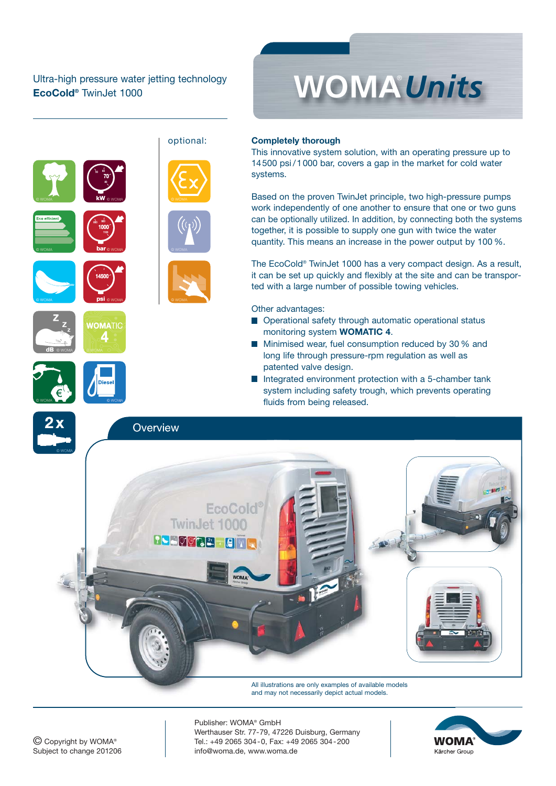## Ultra-high pressure water jetting technology **EcoCold®** TwinJet 1000





**dB**

### **Completely thorough**

This innovative system solution, with an operating pressure up to 14500 psi/1000 bar, covers a gap in the market for cold water systems.

Based on the proven TwinJet principle, two high-pressure pumps work independently of one another to ensure that one or two guns can be optionally utilized. In addition, by connecting both the systems together, it is possible to supply one gun with twice the water quantity. This means an increase in the power output by 100 %.

The EcoCold® TwinJet 1000 has a very compact design. As a result, it can be set up quickly and flexibly at the site and can be transported with a large number of possible towing vehicles.

Other advantages:

- Operational safety through automatic operational status monitoring system **WOMATIC 4**.
- **Minimised wear, fuel consumption reduced by 30 % and** long life through pressure-rpm regulation as well as patented valve design.
- Integrated environment protection with a 5-chamber tank system including safety trough, which prevents operating fluids from being released.



All illustrations are only examples of available models and may not necessarily depict actual models.

Publisher: WOMA® GmbH Werthauser Str. 77-79, 47226 Duisburg, Germany Tel.: +49 2065 304-0, Fax: +49 2065 304-200 info@woma.de, www.woma.de

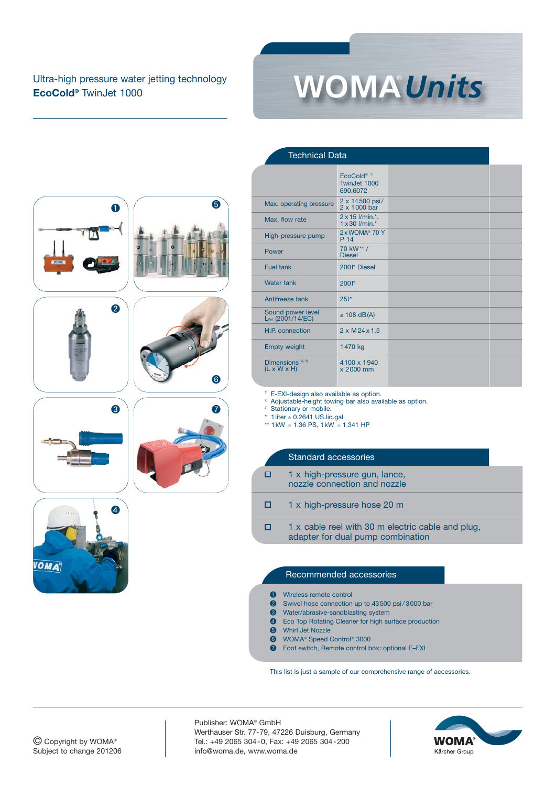# Ultra-high pressure water jetting technology **EcoCold®** TwinJet 1000

















|                                                         | EcoCold <sup>® 1)</sup><br>TwinJet 1000<br>690.6072 |  |
|---------------------------------------------------------|-----------------------------------------------------|--|
| Max. operating pressure                                 | 2 x 14500 psi/<br>2 x 1000 bar                      |  |
| Max flow rate                                           | 2 x 15 l/min.*,<br>$1 \times 30$ $l/min.*$          |  |
| High-pressure pump                                      | 2 x WOMA <sup>®</sup> 70 Y<br>P 14                  |  |
| Power                                                   | 70 kW** /<br><b>Diesel</b>                          |  |
| Fuel tank                                               | 2001* Diesel                                        |  |
| <b>Water tank</b>                                       | $200!$ *                                            |  |
| Antifreeze tank                                         | 25!                                                 |  |
| Sound power level<br>Lwa (2001/14/EC)                   | $\leq$ 108 dB(A)                                    |  |
| H.P. connection                                         | $2 \times M$ 24 $\times$ 1.5                        |  |
| <b>Empty weight</b>                                     | 1470 kg                                             |  |
| Dimensions <sup>2), 3)</sup><br>$(L \times W \times H)$ | 4100 x 1940<br>x 2000 mm                            |  |

<sup>1)</sup> E-EXI-design also available as option.

Technical Data

<sup>2)</sup> Adjustable-height towing bar also available as option.

Stationary or mobile.

\* 1liter ≙ 0.2641 US.liq.gal

\*\* 1kW ≙ 1.36 PS, 1kW ≙ 1.341 HP

## Standard accessories

| O | 1 x high-pressure gun, lance, |
|---|-------------------------------|
|   | nozzle connection and nozzle  |

ō 1 x high-pressure hose 20 m

 $\Box$ 1 x cable reel with 30 m electric cable and plug, adapter for dual pump combination

#### Recommended accessories

Wireless remote control

❷ Swivel hose connection up to 43500 psi / 3000 bar

- **3** Water/abrasive-sandblasting system<br>**4** Eco Top Rotating Cleaner for high su
- Eco Top Rotating Cleaner for high surface production
- **6** Whirl Jet Nozzle
- **O** WOMA® Speed Control® 3000<br> **O** Foot switch, Remote control b
- Foot switch, Remote control box: optional E–EXI

This list is just a sample of our comprehensive range of accessories.

Publisher: WOMA® GmbH Werthauser Str. 77-79, 47226 Duisburg, Germany Tel.: +49 2065 304-0, Fax: +49 2065 304-200 info@woma.de, www.woma.de